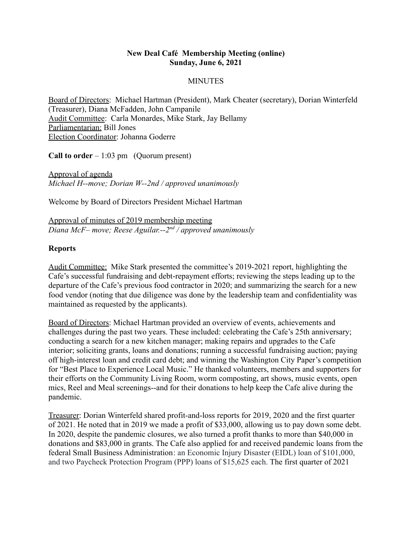### **New Deal Café Membership Meeting (online) Sunday, June 6, 2021**

# **MINUTES**

Board of Directors: Michael Hartman (President), Mark Cheater (secretary), Dorian Winterfeld (Treasurer), Diana McFadden, John Campanile Audit Committee: Carla Monardes, Mike Stark, Jay Bellamy Parliamentarian: Bill Jones Election Coordinator: Johanna Goderre

**Call to order** – 1:03 pm (Quorum present)

Approval of agenda *Michael H--move; Dorian W--2nd / approved unanimously*

Welcome by Board of Directors President Michael Hartman

Approval of minutes of 2019 membership meeting *Diana McF– move; Reese Aguilar.--2nd / approved unanimously*

## **Reports**

Audit Committee: Mike Stark presented the committee's 2019-2021 report, highlighting the Cafe's successful fundraising and debt-repayment efforts; reviewing the steps leading up to the departure of the Cafe's previous food contractor in 2020; and summarizing the search for a new food vendor (noting that due diligence was done by the leadership team and confidentiality was maintained as requested by the applicants).

Board of Directors: Michael Hartman provided an overview of events, achievements and challenges during the past two years. These included: celebrating the Cafe's 25th anniversary; conducting a search for a new kitchen manager; making repairs and upgrades to the Cafe interior; soliciting grants, loans and donations; running a successful fundraising auction; paying off high-interest loan and credit card debt; and winning the Washington City Paper's competition for "Best Place to Experience Local Music." He thanked volunteers, members and supporters for their efforts on the Community Living Room, worm composting, art shows, music events, open mics, Reel and Meal screenings--and for their donations to help keep the Cafe alive during the pandemic.

Treasurer: Dorian Winterfeld shared profit-and-loss reports for 2019, 2020 and the first quarter of 2021. He noted that in 2019 we made a profit of \$33,000, allowing us to pay down some debt. In 2020, despite the pandemic closures, we also turned a profit thanks to more than \$40,000 in donations and \$83,000 in grants. The Cafe also applied for and received pandemic loans from the federal Small Business Administration: an Economic Injury Disaster (EIDL) loan of \$101,000, and two Paycheck Protection Program (PPP) loans of \$15,625 each. The first quarter of 2021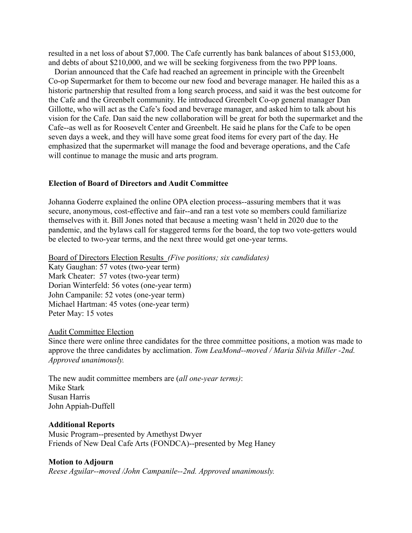resulted in a net loss of about \$7,000. The Cafe currently has bank balances of about \$153,000, and debts of about \$210,000, and we will be seeking forgiveness from the two PPP loans.

Dorian announced that the Cafe had reached an agreement in principle with the Greenbelt Co-op Supermarket for them to become our new food and beverage manager. He hailed this as a historic partnership that resulted from a long search process, and said it was the best outcome for the Cafe and the Greenbelt community. He introduced Greenbelt Co-op general manager Dan Gillotte, who will act as the Cafe's food and beverage manager, and asked him to talk about his vision for the Cafe. Dan said the new collaboration will be great for both the supermarket and the Cafe--as well as for Roosevelt Center and Greenbelt. He said he plans for the Cafe to be open seven days a week, and they will have some great food items for every part of the day. He emphasized that the supermarket will manage the food and beverage operations, and the Cafe will continue to manage the music and arts program.

#### **Election of Board of Directors and Audit Committee**

Johanna Goderre explained the online OPA election process--assuring members that it was secure, anonymous, cost-effective and fair--and ran a test vote so members could familiarize themselves with it. Bill Jones noted that because a meeting wasn't held in 2020 due to the pandemic, and the bylaws call for staggered terms for the board, the top two vote-getters would be elected to two-year terms, and the next three would get one-year terms.

Board of Directors Election Results *(Five positions; six candidates)* Katy Gaughan: 57 votes (two-year term) Mark Cheater: 57 votes (two-year term) Dorian Winterfeld: 56 votes (one-year term) John Campanile: 52 votes (one-year term) Michael Hartman: 45 votes (one-year term) Peter May: 15 votes

#### Audit Committee Election

Since there were online three candidates for the three committee positions, a motion was made to approve the three candidates by acclimation. *Tom LeaMond--moved / Maria Silvia Miller -2nd. Approved unanimously.*

The new audit committee members are (*all one-year terms)*: Mike Stark Susan Harris John Appiah-Duffell

#### **Additional Reports**

Music Program--presented by Amethyst Dwyer Friends of New Deal Cafe Arts (FONDCA)--presented by Meg Haney

#### **Motion to Adjourn**

*Reese Aguilar--moved /John Campanile--2nd. Approved unanimously.*